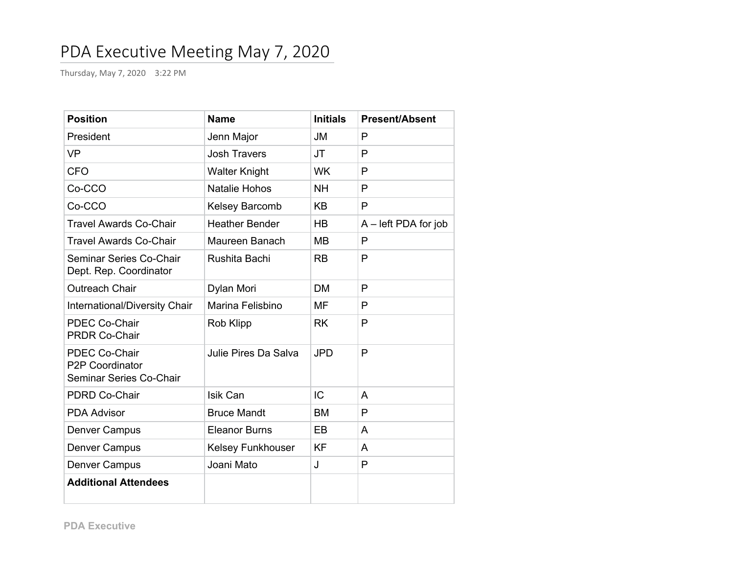# PDA Executive Meeting May 7, 2020

Thursday, May 7, 2020 3:22 PM

| <b>Position</b>                                                    | <b>Name</b>           | <b>Initials</b> | <b>Present/Absent</b>  |
|--------------------------------------------------------------------|-----------------------|-----------------|------------------------|
| President                                                          | Jenn Major            | <b>JM</b>       | P                      |
| <b>VP</b>                                                          | <b>Josh Travers</b>   | <b>JT</b>       | P                      |
| <b>CFO</b>                                                         | <b>Walter Knight</b>  | <b>WK</b>       | P                      |
| Co-CCO                                                             | <b>Natalie Hohos</b>  | <b>NH</b>       | P                      |
| Co-CCO                                                             | Kelsey Barcomb        | <b>KB</b>       | P                      |
| <b>Travel Awards Co-Chair</b>                                      | <b>Heather Bender</b> | HB              | $A$ – left PDA for job |
| <b>Travel Awards Co-Chair</b>                                      | Maureen Banach        | MВ              | P                      |
| Seminar Series Co-Chair<br>Dept. Rep. Coordinator                  | Rushita Bachi         | <b>RB</b>       | P                      |
| <b>Outreach Chair</b>                                              | Dylan Mori            | <b>DM</b>       | P                      |
| International/Diversity Chair                                      | Marina Felisbino      | <b>MF</b>       | P                      |
| <b>PDEC Co-Chair</b><br><b>PRDR Co-Chair</b>                       | Rob Klipp             | <b>RK</b>       | P                      |
| <b>PDEC Co-Chair</b><br>P2P Coordinator<br>Seminar Series Co-Chair | Julie Pires Da Salva  | <b>JPD</b>      | P                      |
| <b>PDRD Co-Chair</b>                                               | Isik Can              | IC              | A                      |
| <b>PDA Advisor</b>                                                 | <b>Bruce Mandt</b>    | <b>BM</b>       | $\mathsf{P}$           |
| Denver Campus                                                      | <b>Eleanor Burns</b>  | EB              | A                      |
| <b>Denver Campus</b>                                               | Kelsey Funkhouser     | <b>KF</b>       | A                      |
| Denver Campus                                                      | Joani Mato            | J               | P                      |
| <b>Additional Attendees</b>                                        |                       |                 |                        |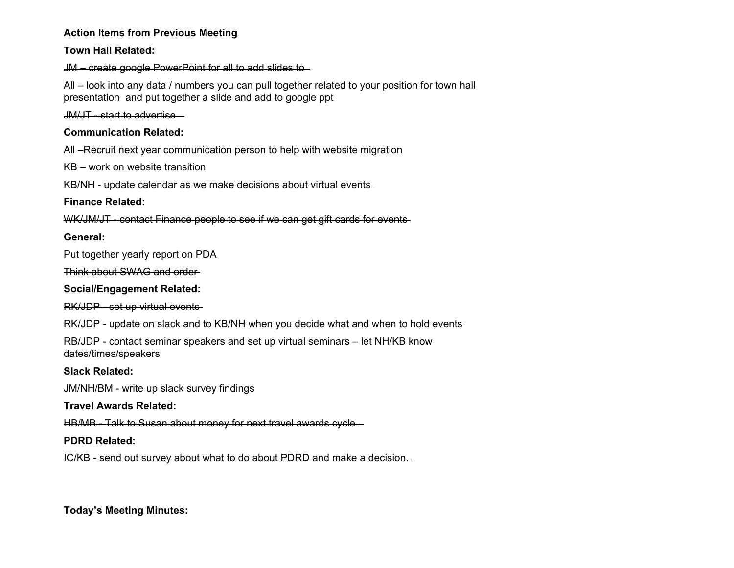#### **Action Items from Previous Meeting**

#### **Town Hall Related:**

JM – create google PowerPoint for all to add slides to

All – look into any data / numbers you can pull together related to your position for town hall presentation and put together a slide and add to google ppt

JM/JT - start to advertise

## **Communication Related:**

All –Recruit next year communication person to help with website migration

KB – work on website transition

KB/NH - update calendar as we make decisions about virtual events

## **Finance Related:**

WK/JM/JT - contact Finance people to see if we can get gift cards for events-

## **General:**

Put together yearly report on PDA

Think about SWAG and order

## **Social/Engagement Related:**

RK/JDP - set up virtual events

RK/JDP - update on slack and to KB/NH when you decide what and when to hold events

RB/JDP - contact seminar speakers and set up virtual seminars – let NH/KB know dates/times/speakers

## **Slack Related:**

JM/NH/BM - write up slack survey findings

## **Travel Awards Related:**

HB/MB - Talk to Susan about money for next travel awards cycle.

## **PDRD Related:**

IC/KB - send out survey about what to do about PDRD and make a decision.

**Today's Meeting Minutes:**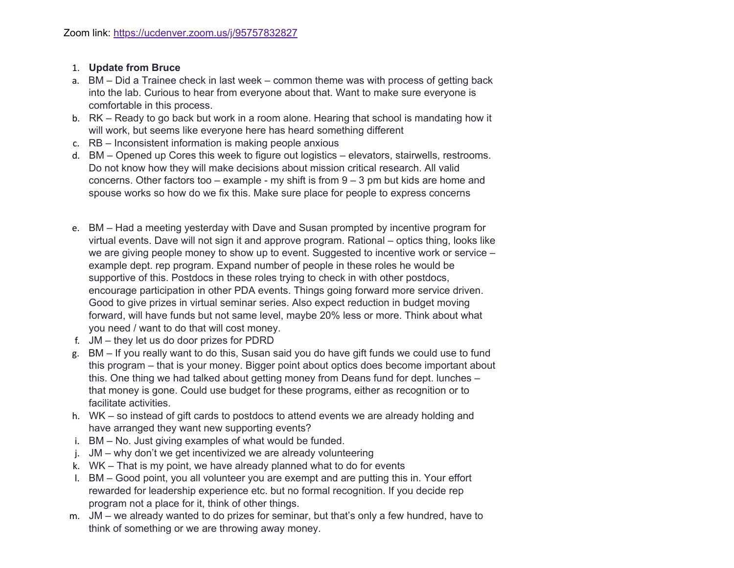#### 1. **Update from Bruce**

- a. BM Did a Trainee check in last week common theme was with process of getting back into the lab. Curious to hear from everyone about that. Want to make sure everyone is comfortable in this process.
- b. RK Ready to go back but work in a room alone. Hearing that school is mandating how it will work, but seems like everyone here has heard something different
- c. RB Inconsistent information is making people anxious
- d. BM Opened up Cores this week to figure out logistics elevators, stairwells, restrooms. Do not know how they will make decisions about mission critical research. All valid concerns. Other factors too – example - my shift is from  $9 - 3$  pm but kids are home and spouse works so how do we fix this. Make sure place for people to express concerns
- e. BM Had a meeting yesterday with Dave and Susan prompted by incentive program for virtual events. Dave will not sign it and approve program. Rational – optics thing, looks like we are giving people money to show up to event. Suggested to incentive work or service – example dept. rep program. Expand number of people in these roles he would be supportive of this. Postdocs in these roles trying to check in with other postdocs, encourage participation in other PDA events. Things going forward more service driven. Good to give prizes in virtual seminar series. Also expect reduction in budget moving forward, will have funds but not same level, maybe 20% less or more. Think about what you need / want to do that will cost money.
- f. JM they let us do door prizes for PDRD
- g. BM If you really want to do this, Susan said you do have gift funds we could use to fund this program – that is your money. Bigger point about optics does become important about this. One thing we had talked about getting money from Deans fund for dept. lunches – that money is gone. Could use budget for these programs, either as recognition or to facilitate activities.
- h. WK so instead of gift cards to postdocs to attend events we are already holding and have arranged they want new supporting events?
- i. BM No. Just giving examples of what would be funded.
- j. JM why don't we get incentivized we are already volunteering
- k. WK That is my point, we have already planned what to do for events
- l. BM Good point, you all volunteer you are exempt and are putting this in. Your effort rewarded for leadership experience etc. but no formal recognition. If you decide rep program not a place for it, think of other things.
- m. JM we already wanted to do prizes for seminar, but that's only a few hundred, have to think of something or we are throwing away money.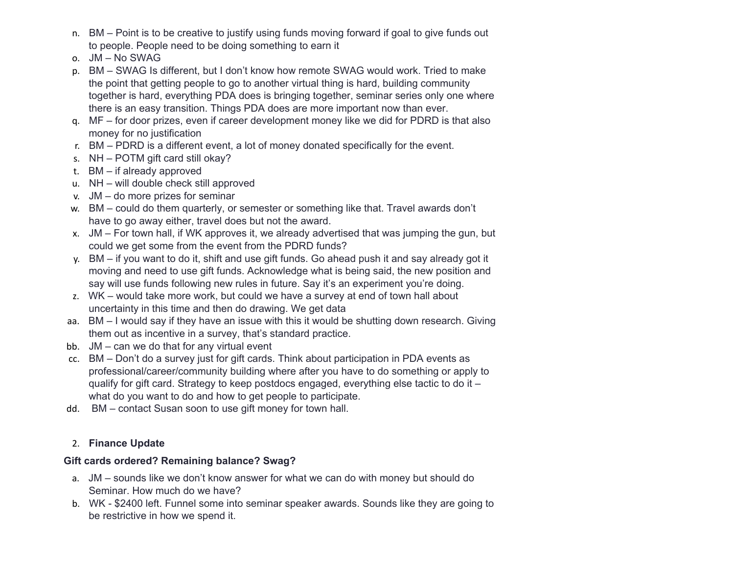- n. BM Point is to be creative to justify using funds moving forward if goal to give funds out to people. People need to be doing something to earn it
- o. JM No SWAG
- p. BM SWAG Is different, but I don't know how remote SWAG would work. Tried to make the point that getting people to go to another virtual thing is hard, building community together is hard, everything PDA does is bringing together, seminar series only one where there is an easy transition. Things PDA does are more important now than ever.
- q. MF for door prizes, even if career development money like we did for PDRD is that also money for no justification
- r. BM PDRD is a different event, a lot of money donated specifically for the event.
- s. NH POTM gift card still okay?
- t. BM if already approved
- u. NH will double check still approved
- v. JM do more prizes for seminar
- w. BM could do them quarterly, or semester or something like that. Travel awards don't have to go away either, travel does but not the award.
- x. JM For town hall, if WK approves it, we already advertised that was jumping the gun, but could we get some from the event from the PDRD funds?
- y. BM if you want to do it, shift and use gift funds. Go ahead push it and say already got it moving and need to use gift funds. Acknowledge what is being said, the new position and say will use funds following new rules in future. Say it's an experiment you're doing.
- z. WK would take more work, but could we have a survey at end of town hall about uncertainty in this time and then do drawing. We get data
- aa. BM I would say if they have an issue with this it would be shutting down research. Giving them out as incentive in a survey, that's standard practice.
- bb. JM can we do that for any virtual event
- cc. BM Don't do a survey just for gift cards. Think about participation in PDA events as professional/career/community building where after you have to do something or apply to qualify for gift card. Strategy to keep postdocs engaged, everything else tactic to do it – what do you want to do and how to get people to participate.
- dd. BM contact Susan soon to use gift money for town hall.

# 2. **Finance Update**

# **Gift cards ordered? Remaining balance? Swag?**

- a. JM sounds like we don't know answer for what we can do with money but should do Seminar. How much do we have?
- b. WK \$2400 left. Funnel some into seminar speaker awards. Sounds like they are going to be restrictive in how we spend it.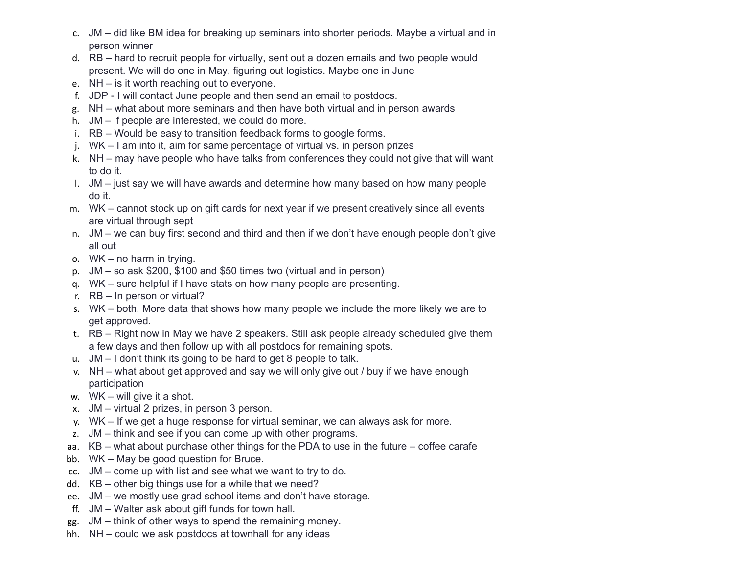- c. JM did like BM idea for breaking up seminars into shorter periods. Maybe a virtual and in person winner
- d. RB hard to recruit people for virtually, sent out a dozen emails and two people would present. We will do one in May, figuring out logistics. Maybe one in June
- e. NH is it worth reaching out to everyone.
- f. JDP I will contact June people and then send an email to postdocs.
- g. NH what about more seminars and then have both virtual and in person awards
- h. JM if people are interested, we could do more.
- i. RB Would be easy to transition feedback forms to google forms.
- j. WK I am into it, aim for same percentage of virtual vs. in person prizes
- k. NH may have people who have talks from conferences they could not give that will want to do it.
- l. JM just say we will have awards and determine how many based on how many people do it.
- m. WK cannot stock up on gift cards for next year if we present creatively since all events are virtual through sept
- n. JM we can buy first second and third and then if we don't have enough people don't give all out
- o. WK no harm in trying.
- p. JM so ask \$200, \$100 and \$50 times two (virtual and in person)
- q. WK sure helpful if I have stats on how many people are presenting.
- r. RB In person or virtual?
- s. WK both. More data that shows how many people we include the more likely we are to get approved.
- t. RB Right now in May we have 2 speakers. Still ask people already scheduled give them a few days and then follow up with all postdocs for remaining spots.
- u. JM I don't think its going to be hard to get 8 people to talk.
- v. NH what about get approved and say we will only give out / buy if we have enough participation
- w. WK will give it a shot.
- x. JM virtual 2 prizes, in person 3 person.
- y. WK If we get a huge response for virtual seminar, we can always ask for more.
- z. JM think and see if you can come up with other programs.
- aa. KB what about purchase other things for the PDA to use in the future coffee carafe
- bb. WK May be good question for Bruce.
- cc. JM come up with list and see what we want to try to do.
- dd. KB other big things use for a while that we need?
- ee. JM we mostly use grad school items and don't have storage.
- ff. JM Walter ask about gift funds for town hall.
- gg. JM think of other ways to spend the remaining money.
- hh. NH could we ask postdocs at townhall for any ideas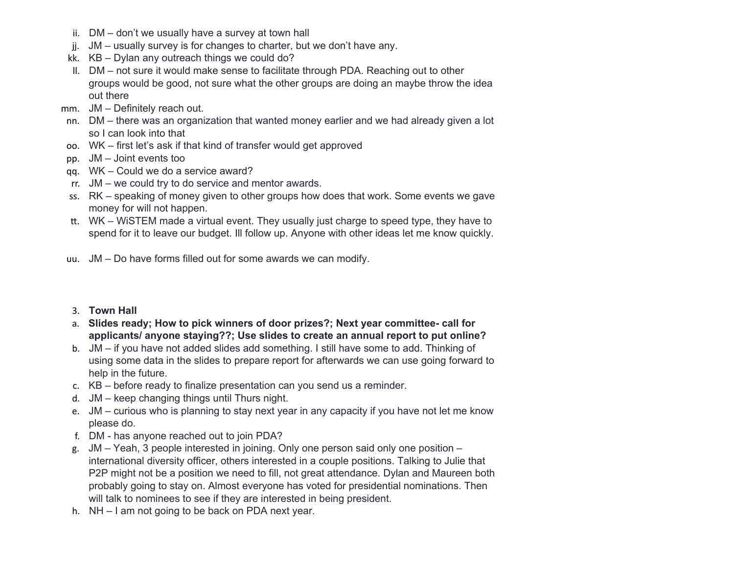- ii. DM don't we usually have a survey at town hall
- jj. JM usually survey is for changes to charter, but we don't have any.
- kk. KB Dylan any outreach things we could do?
- ll. DM not sure it would make sense to facilitate through PDA. Reaching out to other groups would be good, not sure what the other groups are doing an maybe throw the idea out there
- mm. JM Definitely reach out.
- nn. DM there was an organization that wanted money earlier and we had already given a lot so I can look into that
- oo. WK first let's ask if that kind of transfer would get approved
- pp. JM Joint events too
- qq. WK Could we do a service award?
- rr. JM we could try to do service and mentor awards.
- ss. RK speaking of money given to other groups how does that work. Some events we gave money for will not happen.
- . WK WiSTEM made a virtual event. They usually just charge to speed type, they have to spend for it to leave our budget. Ill follow up. Anyone with other ideas let me know quickly.
- uu. JM Do have forms filled out for some awards we can modify.

#### 3. **Town Hall**

- a. **Slides ready; How to pick winners of door prizes?; Next year committee- call for applicants/ anyone staying??; Use slides to create an annual report to put online?**
- b. JM if you have not added slides add something. I still have some to add. Thinking of using some data in the slides to prepare report for afterwards we can use going forward to help in the future.
- c. KB before ready to finalize presentation can you send us a reminder.
- d. JM keep changing things until Thurs night.
- e. JM curious who is planning to stay next year in any capacity if you have not let me know please do.
- f. DM has anyone reached out to join PDA?
- g. JM Yeah, 3 people interested in joining. Only one person said only one position international diversity officer, others interested in a couple positions. Talking to Julie that P2P might not be a position we need to fill, not great attendance. Dylan and Maureen both probably going to stay on. Almost everyone has voted for presidential nominations. Then will talk to nominees to see if they are interested in being president.
- h. NH I am not going to be back on PDA next year.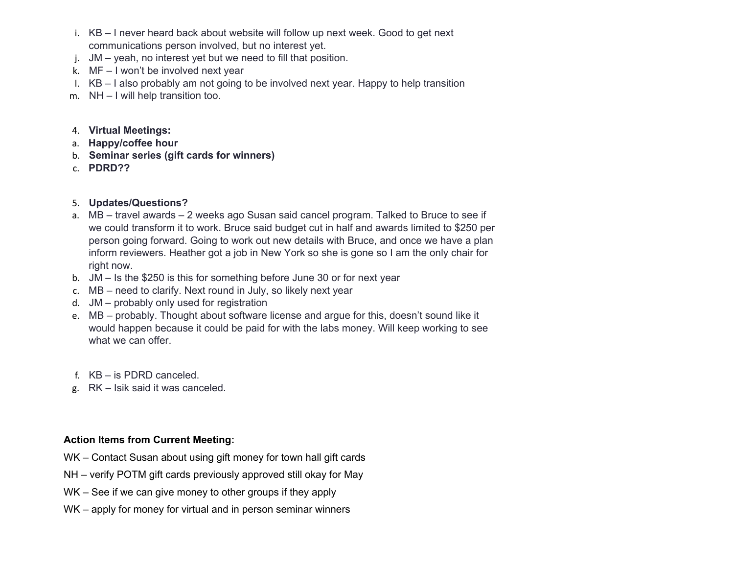- i. KB I never heard back about website will follow up next week. Good to get next communications person involved, but no interest yet.
- j. JM yeah, no interest yet but we need to fill that position.
- k. MF I won't be involved next year
- l. KB I also probably am not going to be involved next year. Happy to help transition
- m. NH I will help transition too.

#### 4. **Virtual Meetings:**

- a. **Happy/coffee hour**
- b. **Seminar series (gift cards for winners)**
- c. **PDRD??**

## 5. **Updates/Questions?**

- a. MB travel awards 2 weeks ago Susan said cancel program. Talked to Bruce to see if we could transform it to work. Bruce said budget cut in half and awards limited to \$250 per person going forward. Going to work out new details with Bruce, and once we have a plan inform reviewers. Heather got a job in New York so she is gone so I am the only chair for right now.
- b. JM Is the \$250 is this for something before June 30 or for next year
- c. MB need to clarify. Next round in July, so likely next year
- d. JM probably only used for registration
- e. MB probably. Thought about software license and argue for this, doesn't sound like it would happen because it could be paid for with the labs money. Will keep working to see what we can offer.
- f. KB is PDRD canceled.
- g. RK Isik said it was canceled.

## **Action Items from Current Meeting:**

- WK Contact Susan about using gift money for town hall gift cards
- NH verify POTM gift cards previously approved still okay for May
- WK See if we can give money to other groups if they apply
- WK apply for money for virtual and in person seminar winners